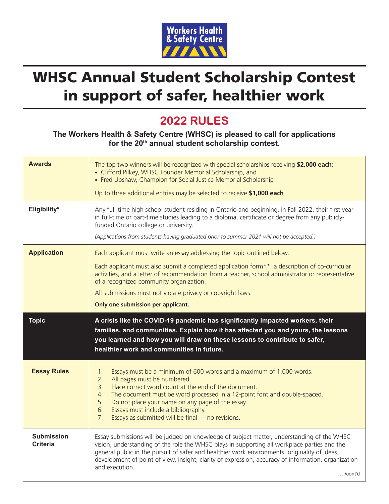

## WHSC Annual Student Scholarship Contest in support of safer, healthier work

## **2022 RULES**

**The Workers Health & Safety Centre (WHSC) is pleased to call for applications for the 20th annual student scholarship contest.**

| <b>Awards</b>                        | The top two winners will be recognized with special scholarships receiving \$2,000 each:<br>• Clifford Pilkey, WHSC Founder Memorial Scholarship, and<br>• Fred Upshaw, Champion for Social Justice Memorial Scholarship<br>Up to three additional entries may be selected to receive \$1,000 each                                                                                                                                            |
|--------------------------------------|-----------------------------------------------------------------------------------------------------------------------------------------------------------------------------------------------------------------------------------------------------------------------------------------------------------------------------------------------------------------------------------------------------------------------------------------------|
| Eligibility*                         | Any full-time high school student residing in Ontario and beginning, in Fall 2022, their first year<br>in full-time or part-time studies leading to a diploma, certificate or degree from any publicly-<br>funded Ontario college or university.<br>(Applications from students having graduated prior to summer 2021 will not be accepted.)                                                                                                  |
| <b>Application</b>                   | Each applicant must write an essay addressing the topic outlined below.<br>Each applicant must also submit a completed application form**, a description of co-curricular<br>activities, and a letter of recommendation from a teacher, school administrator or representative<br>of a recognized community organization.<br>All submissions must not violate privacy or copyright laws.<br>Only one submission per applicant.                |
| <b>Topic</b>                         | A crisis like the COVID-19 pandemic has significantly impacted workers, their<br>families, and communities. Explain how it has affected you and yours, the lessons<br>you learned and how you will draw on these lessons to contribute to safer,<br>healthier work and communities in future.                                                                                                                                                 |
| <b>Essay Rules</b>                   | Essays must be a minimum of 600 words and a maximum of 1,000 words.<br>1.<br>All pages must be numbered.<br>2.<br>Place correct word count at the end of the document.<br>3.<br>The document must be word processed in a 12-point font and double-spaced.<br>4.<br>Do not place your name on any page of the essay.<br>5.<br>Essays must include a bibliography.<br>6.<br>7 <sub>1</sub><br>Essays as submitted will be final - no revisions. |
| <b>Submission</b><br><b>Criteria</b> | Essay submissions will be judged on knowledge of subject matter, understanding of the WHSC<br>vision, understanding of the role the WHSC plays in supporting all workplace parties and the<br>general public in the pursuit of safer and healthier work environments, originality of ideas,<br>development of point of view, insight, clarity of expression, accuracy of information, organization<br>and execution.<br>$$ /cont'd            |